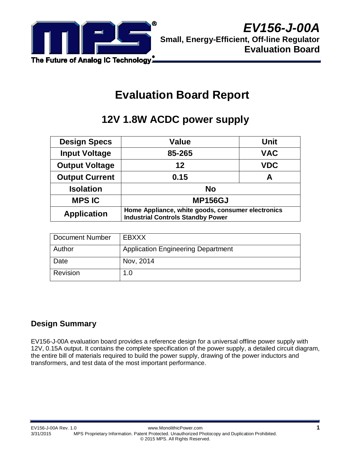

# **Evaluation Board Report**

# **12V 1.8W ACDC power supply**

| <b>Design Specs</b>   | <b>Value</b>                                                                                  | <b>Unit</b> |  |
|-----------------------|-----------------------------------------------------------------------------------------------|-------------|--|
| <b>Input Voltage</b>  | 85-265                                                                                        | <b>VAC</b>  |  |
| <b>Output Voltage</b> | 12                                                                                            | <b>VDC</b>  |  |
| <b>Output Current</b> | 0.15                                                                                          | А           |  |
| <b>Isolation</b>      | <b>No</b>                                                                                     |             |  |
| <b>MPS IC</b>         | <b>MP156GJ</b>                                                                                |             |  |
| <b>Application</b>    | Home Appliance, white goods, consumer electronics<br><b>Industrial Controls Standby Power</b> |             |  |

| Document Number | EBXXX                                     |
|-----------------|-------------------------------------------|
| Author          | <b>Application Engineering Department</b> |
| Date            | Nov, 2014                                 |
| Revision        | 1.0                                       |

## **Design Summary**

EV156-J-00A evaluation board provides a reference design for a universal offline power supply with 12V, 0.15A output. It contains the complete specification of the power supply, a detailed circuit diagram, the entire bill of materials required to build the power supply, drawing of the power inductors and transformers, and test data of the most important performance.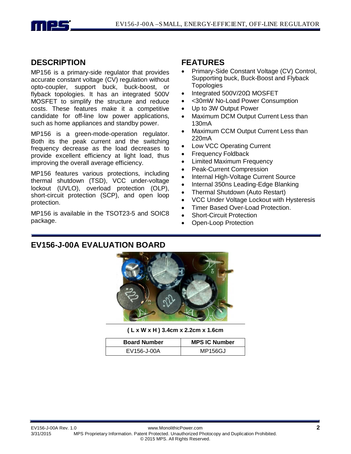

#### **DESCRIPTION**

MP156 is a primary-side regulator that provides accurate constant voltage (CV) regulation without opto-coupler, support buck, buck-boost, or flyback topologies. It has an integrated 500V MOSFET to simplify the structure and reduce costs. These features make it a competitive candidate for off-line low power applications, such as home appliances and standby power.

MP156 is a green-mode-operation regulator. Both its the peak current and the switching frequency decrease as the load decreases to provide excellent efficiency at light load, thus improving the overall average efficiency.

MP156 features various protections, including thermal shutdown (TSD), VCC under-voltage lockout (UVLO), overload protection (OLP), short-circuit protection (SCP), and open loop protection.

MP156 is available in the TSOT23-5 and SOIC8 package.

#### **FEATURES**

- Primary-Side Constant Voltage (CV) Control, Supporting buck, Buck-Boost and Flyback **Topologies**
- Integrated 500V/20Ω MOSFET
- <30mW No-Load Power Consumption
- Up to 3W Output Power
- Maximum DCM Output Current Less than 130mA
- Maximum CCM Output Current Less than 220mA
- Low VCC Operating Current
- Frequency Foldback
- Limited Maximum Frequency
- Peak-Current Compression
- Internal High-Voltage Current Source
- Internal 350ns Leading-Edge Blanking
- Thermal Shutdown (Auto Restart)
- VCC Under Voltage Lockout with Hysteresis
- Timer Based Over-Load Protection.
- **Short-Circuit Protection**
- Open-Loop Protection

## **EV156-J-00A EVALUATION BOARD**



**( L x W x H ) 3.4cm x 2.2cm x 1.6cm**

| <b>Board Number</b> | <b>MPS IC Number</b> |  |
|---------------------|----------------------|--|
| EV156-J-00A         | MP156GJ              |  |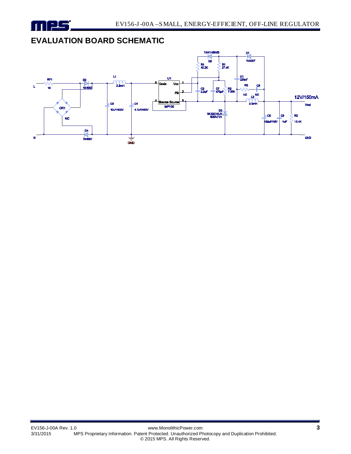

## **EVALUATION BOARD SCHEMATIC**

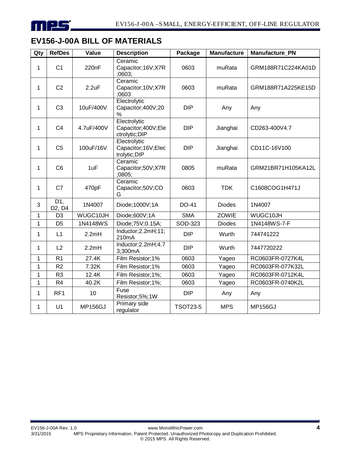

# **EV156-J-00A BILL OF MATERIALS**

| Qty          | <b>RefDes</b>                          | Value          | <b>Description</b>                                    | Package         | <b>Manufacture</b> | <b>Manufacture PN</b> |
|--------------|----------------------------------------|----------------|-------------------------------------------------------|-----------------|--------------------|-----------------------|
| 1            | C <sub>1</sub>                         | 220nF          | Ceramic<br>Capacitor; 16V; X7R<br>;0603;              | 0603            | muRata             | GRM188R71C224KA01D    |
| 1            | C <sub>2</sub>                         | 2.2uF          | Ceramic<br>Capacitor; 10V; X7R<br>;0603               | 0603            | muRata             | GRM188R71A225KE15D    |
| 1            | C <sub>3</sub>                         | 10uF/400V      | Electrolytic<br>Capacitor;400V;20<br>%                | <b>DIP</b>      | Any                | Any                   |
| 1            | C <sub>4</sub>                         | 4.7uF/400V     | Electrolytic<br>Capacitor;400V;Ele<br>ctrolytic; DIP  | <b>DIP</b>      | Jianghai           | CD263-400V4.7         |
| 1            | C <sub>5</sub>                         | 100uF/16V      | Electrolytic<br>Capacitor; 16V; Elec<br>trolytic; DIP | <b>DIP</b>      | Jianghai           | CD11C-16V100          |
| 1            | C <sub>6</sub>                         | 1uF            | Ceramic<br>Capacitor;50V;X7R<br>:0805:                | 0805            | muRata             | GRM21BR71H105KA12L    |
| 1            | C7                                     | 470pF          | Ceramic<br>Capacitor;50V;CO<br>G                      | 0603            | <b>TDK</b>         | C1608COG1H471J        |
| 3            | D1,<br>D <sub>2</sub> , D <sub>4</sub> | 1N4007         | Diode; 1000V; 1A                                      | DO-41           | <b>Diodes</b>      | 1N4007                |
| $\mathbf{1}$ | D <sub>3</sub>                         | WUGC10JH       | Diode;600V;1A                                         | <b>SMA</b>      | ZOWIE              | WUGC10JH              |
| 1            | D <sub>5</sub>                         | 1N4148WS       | Diode; 75V; 0.15A;                                    | SOD-323         | <b>Diodes</b>      | 1N4148WS-7-F          |
| 1            | L1                                     | 2.2mH          | Inductor; 2.2mH; 11;<br>210mA                         | <b>DIP</b>      | Wurth              | 744741222             |
| $\mathbf 1$  | L2                                     | 2.2mH          | Inductor; $2.2mH$ ; $4.7$<br>3;300mA                  | <b>DIP</b>      | Wurth              | 7447720222            |
| 1            | R <sub>1</sub>                         | 27.4K          | Film Resistor;1%                                      | 0603            | Yageo              | RC0603FR-0727K4L      |
| 1            | R2                                     | 7.32K          | Film Resistor; 1%                                     | 0603            | Yageo              | RC0603FR-077K32L      |
| $\mathbf{1}$ | R <sub>3</sub>                         | 12.4K          | Film Resistor;1%;                                     | 0603            | Yageo              | RC0603FR-0712K4L      |
| $\mathbf{1}$ | R <sub>4</sub>                         | 40.2K          | Film Resistor;1%;                                     | 0603            | Yageo              | RC0603FR-0740K2L      |
| 1            | RF <sub>1</sub>                        | 10             | Fuse<br>Resistor;5%;1W                                | <b>DIP</b>      | Any                | Any                   |
| 1            | U1                                     | <b>MP156GJ</b> | <b>Primary side</b><br>regulator                      | <b>TSOT23-5</b> | <b>MPS</b>         | <b>MP156GJ</b>        |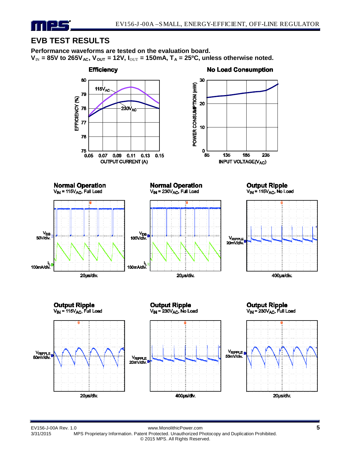# **EVB TEST RESULTS**

11 F.E

**Performance waveforms are tested on the evaluation board.**   $V_{\text{IN}}$  = 85V to 265V<sub>AC</sub>,  $V_{\text{OUT}}$  = 12V,  $I_{\text{OUT}}$  = 150mA,  $T_A$  = 25<sup>o</sup>C, unless otherwise noted.

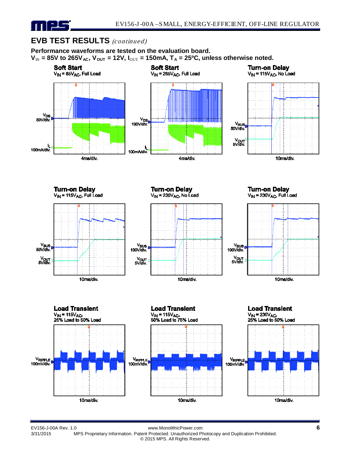

## **EVB TEST RESULTS** (continued)

**Performance waveforms are tested on the evaluation board.**   $V_{\text{IN}}$  = 85V to 265V<sub>AC</sub>,  $V_{\text{OUT}}$  = 12V,  $I_{\text{OUT}}$  = 150mA,  $T_A$  = 25<sup>o</sup>C, unless otherwise noted.



MPS Proprietary Information. Patent Protected. Unauthorized Photocopy and Duplication Prohibited.

© 2015 MPS. All Rights Reserved.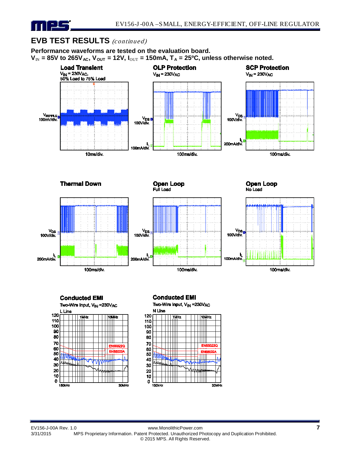

## **EVB TEST RESULTS** (continued)

**Performance waveforms are tested on the evaluation board.**   $V_{\text{IN}}$  = 85V to 265V<sub>AC</sub>,  $V_{\text{OUT}}$  = 12V,  $I_{\text{OUT}}$  = 150mA,  $T_A$  = 25<sup>o</sup>C, unless otherwise noted.





#### **Conducted EMI**

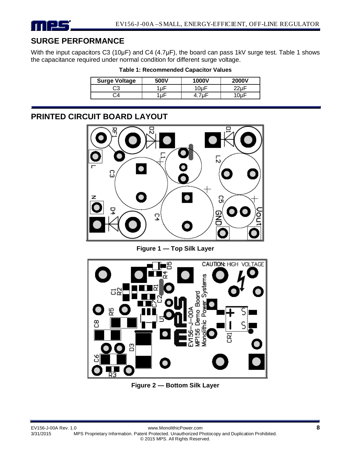# **SURGE PERFORMANCE**

With the input capacitors C3 (10µF) and C4 (4.7µF), the board can pass 1kV surge test. Table 1 shows the capacitance required under normal condition for different surge voltage.

**Table 1: Recommended Capacitor Values**

| <b>Surge Voltage</b> | 500V | 1000V     | <b>2000V</b> |
|----------------------|------|-----------|--------------|
| CЗ                   | ыr   | $10\mu F$ |              |
|                      | u۲   |           |              |

## **PRINTED CIRCUIT BOARD LAYOUT**



**Figure 1 — Top Silk Layer**



**Figure 2 — Bottom Silk Layer**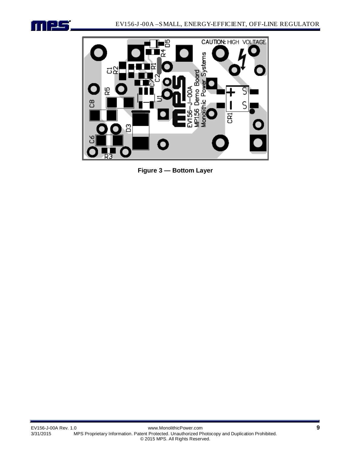



**Figure 3 — Bottom Layer**